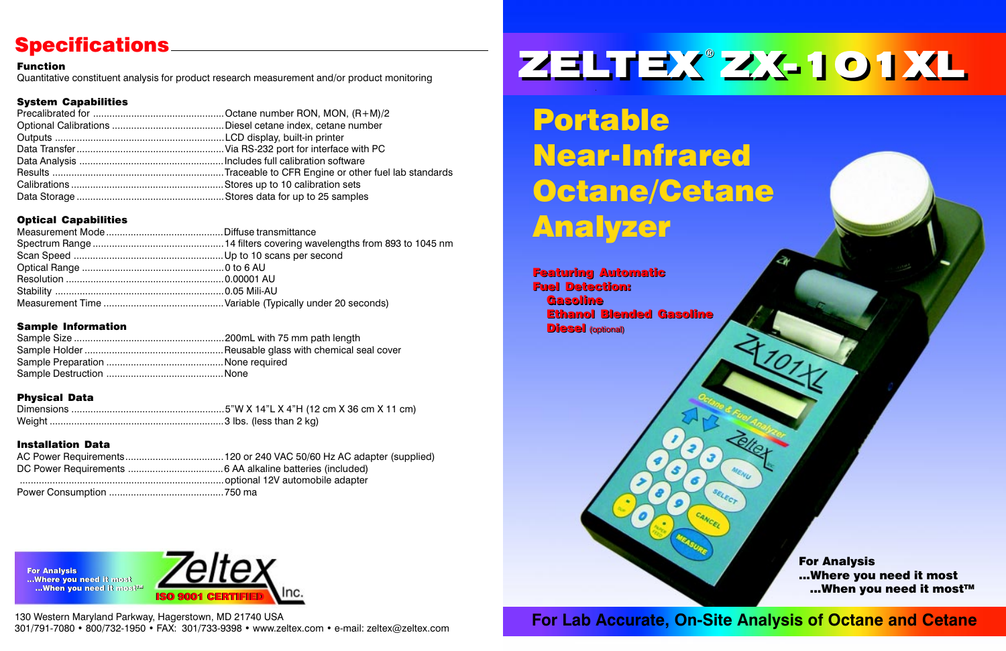Portable Near-Infrared Octane/Cetane Analyzer

For Lab Accurate, On-Site Analysis of Octane and Cetane

SELECT

# ZELTEX ZX-101XL

# **Specifications**

#### Function

Quantitative constituent analysis for product research measurement and/or product monitoring

## System Capabilities

# Optical Capabilities

130 Western Maryland Parkway, Hagerstown, MD 21740 USA 301/791-7080 • 800/732-1950 • FAX: 301/733-9398 • www.zeltex.com • e-mail: zeltex@zeltex.com



For Analysis ...Where you need it most For Analysis...Where you need it most **...When you need it mostIM** 

For Analysis ...Where you need it most ...When you need it most™

## Sample Information

# Physical Data

## Installation Data



Featuring Automatic Featuring Automatic Fuel Detection: Fuel Detection: Gasoline Gasoline Ethanol Blended Gasoline Ethanol Blended Gasoline Diesel (optional) Diesel (optional)